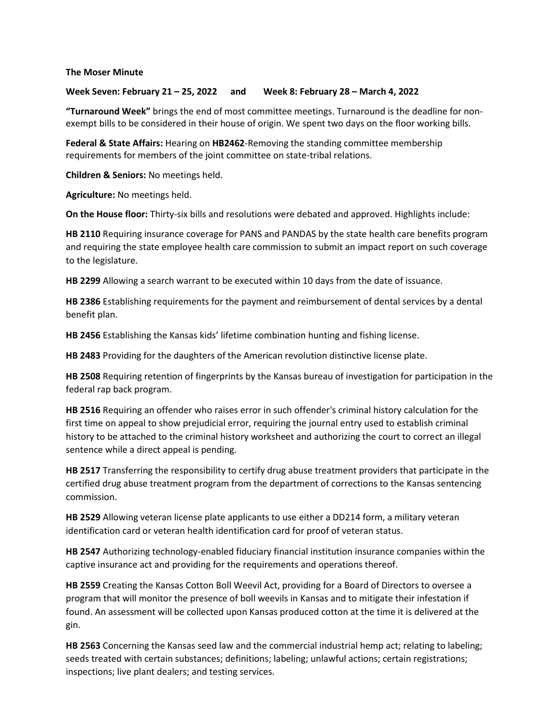**The Moser Minute**

**Week Seven: February 21 – 25, 2022 and Week 8: February 28 – March 4, 2022**

**"Turnaround Week"** brings the end of most committee meetings. Turnaround is the deadline for nonexempt bills to be considered in their house of origin. We spent two days on the floor working bills.

**Federal & State Affairs:** Hearing on **HB2462**-Removing the standing committee membership requirements for members of the joint committee on state-tribal relations.

**Children & Seniors:** No meetings held.

**Agriculture:** No meetings held.

**On the House floor:** Thirty-six bills and resolutions were debated and approved. Highlights include:

**HB 2110** Requiring insurance coverage for PANS and PANDAS by the state health care benefits program and requiring the state employee health care commission to submit an impact report on such coverage to the legislature.

**HB 2299** Allowing a search warrant to be executed within 10 days from the date of issuance.

**HB 2386** Establishing requirements for the payment and reimbursement of dental services by a dental benefit plan.

**HB 2456** Establishing the Kansas kids' lifetime combination hunting and fishing license.

**HB 2483** Providing for the daughters of the American revolution distinctive license plate.

**HB 2508** Requiring retention of fingerprints by the Kansas bureau of investigation for participation in the federal rap back program.

**HB 2516** Requiring an offender who raises error in such offender's criminal history calculation for the first time on appeal to show prejudicial error, requiring the journal entry used to establish criminal history to be attached to the criminal history worksheet and authorizing the court to correct an illegal sentence while a direct appeal is pending.

**HB 2517** Transferring the responsibility to certify drug abuse treatment providers that participate in the certified drug abuse treatment program from the department of corrections to the Kansas sentencing commission.

**HB 2529** Allowing veteran license plate applicants to use either a DD214 form, a military veteran identification card or veteran health identification card for proof of veteran status.

**HB 2547** Authorizing technology-enabled fiduciary financial institution insurance companies within the captive insurance act and providing for the requirements and operations thereof.

**HB 2559** Creating the Kansas Cotton Boll Weevil Act, providing for a Board of Directors to oversee a program that will monitor the presence of boll weevils in Kansas and to mitigate their infestation if found. An assessment will be collected upon Kansas produced cotton at the time it is delivered at the gin.

**HB 2563** Concerning the Kansas seed law and the commercial industrial hemp act; relating to labeling; seeds treated with certain substances; definitions; labeling; unlawful actions; certain registrations; inspections; live plant dealers; and testing services.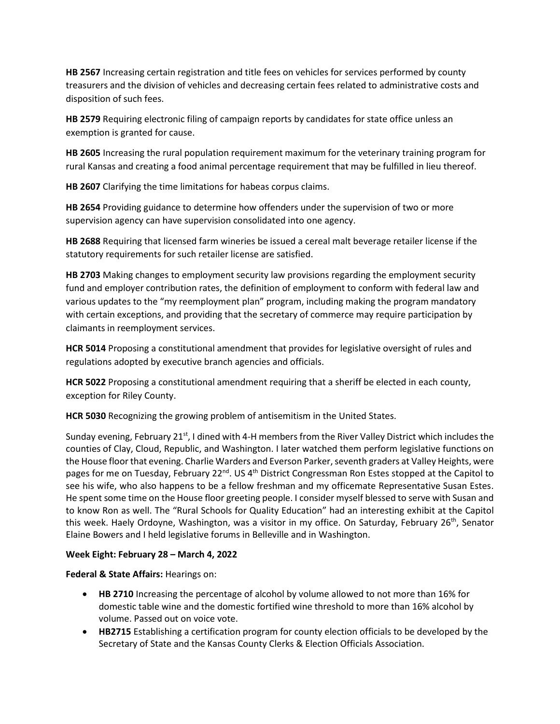**HB 2567** Increasing certain registration and title fees on vehicles for services performed by county treasurers and the division of vehicles and decreasing certain fees related to administrative costs and disposition of such fees.

**HB 2579** Requiring electronic filing of campaign reports by candidates for state office unless an exemption is granted for cause.

**HB 2605** Increasing the rural population requirement maximum for the veterinary training program for rural Kansas and creating a food animal percentage requirement that may be fulfilled in lieu thereof.

**HB 2607** Clarifying the time limitations for habeas corpus claims.

**HB 2654** Providing guidance to determine how offenders under the supervision of two or more supervision agency can have supervision consolidated into one agency.

**HB 2688** Requiring that licensed farm wineries be issued a cereal malt beverage retailer license if the statutory requirements for such retailer license are satisfied.

**HB 2703** Making changes to employment security law provisions regarding the employment security fund and employer contribution rates, the definition of employment to conform with federal law and various updates to the "my reemployment plan" program, including making the program mandatory with certain exceptions, and providing that the secretary of commerce may require participation by claimants in reemployment services.

**HCR 5014** Proposing a constitutional amendment that provides for legislative oversight of rules and regulations adopted by executive branch agencies and officials.

**HCR 5022** Proposing a constitutional amendment requiring that a sheriff be elected in each county, exception for Riley County.

**HCR 5030** Recognizing the growing problem of antisemitism in the United States.

Sunday evening, February 21<sup>st</sup>, I dined with 4-H members from the River Valley District which includes the counties of Clay, Cloud, Republic, and Washington. I later watched them perform legislative functions on the House floorthat evening. Charlie Warders and Everson Parker, seventh graders at Valley Heights, were pages for me on Tuesday, February 22<sup>nd</sup>. US 4<sup>th</sup> District Congressman Ron Estes stopped at the Capitol to see his wife, who also happens to be a fellow freshman and my officemate Representative Susan Estes. He spent some time on the House floor greeting people. I consider myself blessed to serve with Susan and to know Ron as well. The "Rural Schools for Quality Education" had an interesting exhibit at the Capitol this week. Haely Ordoyne, Washington, was a visitor in my office. On Saturday, February 26<sup>th</sup>, Senator Elaine Bowers and I held legislative forums in Belleville and in Washington.

## **Week Eight: February 28 – March 4, 2022**

**Federal & State Affairs:** Hearings on:

- **HB 2710** Increasing the percentage of alcohol by volume allowed to not more than 16% for domestic table wine and the domestic fortified wine threshold to more than 16% alcohol by volume. Passed out on voice vote.
- **HB2715** Establishing a certification program for county election officials to be developed by the Secretary of State and the Kansas County Clerks & Election Officials Association.